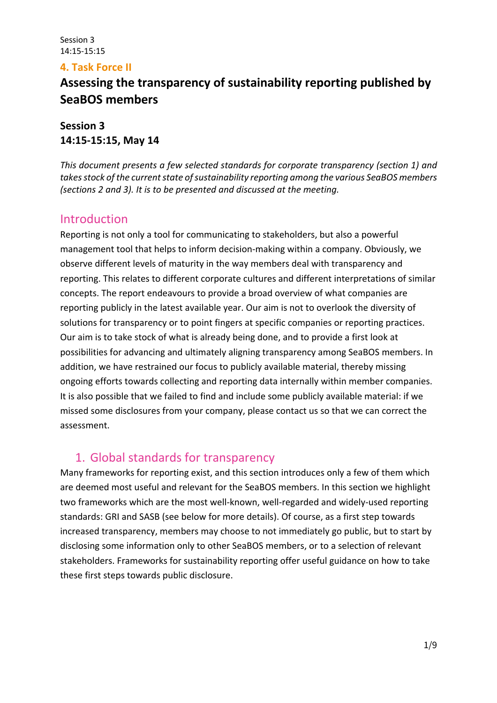## **4. Task Force II**

# **Assessing the transparency of sustainability reporting published by SeaBOS members**

**Session 3 14:15-15:15, May 14**

*This document presents a few selected standards for corporate transparency (section 1) and takes stock of the current state of sustainability reporting among the various SeaBOS members (sections 2 and 3). It is to be presented and discussed at the meeting.*

## Introduction

Reporting is not only a tool for communicating to stakeholders, but also a powerful management tool that helps to inform decision-making within a company. Obviously, we observe different levels of maturity in the way members deal with transparency and reporting. This relates to different corporate cultures and different interpretations of similar concepts. The report endeavours to provide a broad overview of what companies are reporting publicly in the latest available year. Our aim is not to overlook the diversity of solutions for transparency or to point fingers at specific companies or reporting practices. Our aim is to take stock of what is already being done, and to provide a first look at possibilities for advancing and ultimately aligning transparency among SeaBOS members. In addition, we have restrained our focus to publicly available material, thereby missing ongoing efforts towards collecting and reporting data internally within member companies. It is also possible that we failed to find and include some publicly available material: if we missed some disclosures from your company, please contact us so that we can correct the assessment.

## 1. Global standards for transparency

Many frameworks for reporting exist, and this section introduces only a few of them which are deemed most useful and relevant for the SeaBOS members. In this section we highlight two frameworks which are the most well-known, well-regarded and widely-used reporting standards: GRI and SASB (see below for more details). Of course, as a first step towards increased transparency, members may choose to not immediately go public, but to start by disclosing some information only to other SeaBOS members, or to a selection of relevant stakeholders. Frameworks for sustainability reporting offer useful guidance on how to take these first steps towards public disclosure.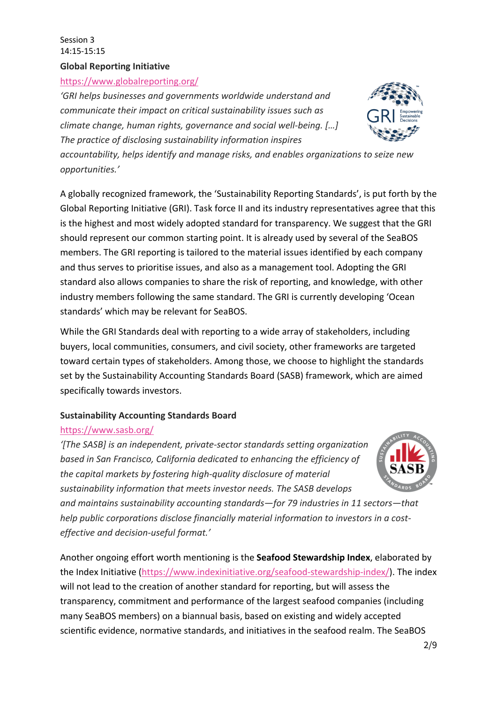#### Session 3 14:15-15:15 **Global Reporting Initiative**

## https://www.globalreporting.org/

*'GRI helps businesses and governments worldwide understand and communicate their impact on critical sustainability issues such as climate change, human rights, governance and social well-being. […] The practice of disclosing sustainability information inspires* 



*accountability, helps identify and manage risks, and enables organizations to seize new opportunities.'*

A globally recognized framework, the 'Sustainability Reporting Standards', is put forth by the Global Reporting Initiative (GRI). Task force II and its industry representatives agree that this is the highest and most widely adopted standard for transparency. We suggest that the GRI should represent our common starting point. It is already used by several of the SeaBOS members. The GRI reporting is tailored to the material issues identified by each company and thus serves to prioritise issues, and also as a management tool. Adopting the GRI standard also allows companies to share the risk of reporting, and knowledge, with other industry members following the same standard. The GRI is currently developing 'Ocean standards' which may be relevant for SeaBOS.

While the GRI Standards deal with reporting to a wide array of stakeholders, including buyers, local communities, consumers, and civil society, other frameworks are targeted toward certain types of stakeholders. Among those, we choose to highlight the standards set by the Sustainability Accounting Standards Board (SASB) framework, which are aimed specifically towards investors.

## **Sustainability Accounting Standards Board**

## https://www.sasb.org/

*'[The SASB] is an independent, private-sector standards setting organization based in San Francisco, California dedicated to enhancing the efficiency of the capital markets by fostering high-quality disclosure of material sustainability information that meets investor needs. The SASB develops* 

*and maintains sustainability accounting standards—for 79 industries in 11 sectors—that help public corporations disclose financially material information to investors in a costeffective and decision-useful format.'*

Another ongoing effort worth mentioning is the **Seafood Stewardship Index**, elaborated by the Index Initiative (https://www.indexinitiative.org/seafood-stewardship-index/). The index will not lead to the creation of another standard for reporting, but will assess the transparency, commitment and performance of the largest seafood companies (including many SeaBOS members) on a biannual basis, based on existing and widely accepted scientific evidence, normative standards, and initiatives in the seafood realm. The SeaBOS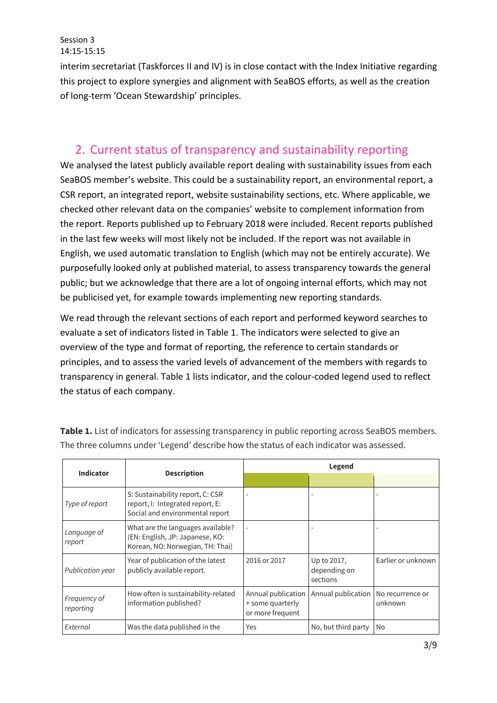interim secretariat (Taskforces II and IV) is in close contact with the Index Initiative regarding this project to explore synergies and alignment with SeaBOS efforts, as well as the creation of long-term 'Ocean Stewardship' principles.

# 2. Current status of transparency and sustainability reporting

We analysed the latest publicly available report dealing with sustainability issues from each SeaBOS member's website. This could be a sustainability report, an environmental report, a CSR report, an integrated report, website sustainability sections, etc. Where applicable, we checked other relevant data on the companies' website to complement information from the report. Reports published up to February 2018 were included. Recent reports published in the last few weeks will most likely not be included. If the report was not available in English, we used automatic translation to English (which may not be entirely accurate). We purposefully looked only at published material, to assess transparency towards the general public; but we acknowledge that there are a lot of ongoing internal efforts, which may not be publicised yet, for example towards implementing new reporting standards.

We read through the relevant sections of each report and performed keyword searches to evaluate a set of indicators listed in Table 1. The indicators were selected to give an overview of the type and format of reporting, the reference to certain standards or principles, and to assess the varied levels of advancement of the members with regards to transparency in general. Table 1 lists indicator, and the colour-coded legend used to reflect the status of each company.

|                           |                                                                                                          | Legend                                                     |                                         |                             |  |  |  |  |
|---------------------------|----------------------------------------------------------------------------------------------------------|------------------------------------------------------------|-----------------------------------------|-----------------------------|--|--|--|--|
| <b>Indicator</b>          | <b>Description</b>                                                                                       |                                                            |                                         |                             |  |  |  |  |
| Type of report            | S: Sustainability report, C: CSR<br>report, I: Integrated report, E:<br>Social and environmental report  |                                                            |                                         |                             |  |  |  |  |
| Language of<br>report     | What are the languages available?<br>(EN: English, JP: Japanese, KO:<br>Korean, NO: Norwegian, TH: Thai) |                                                            |                                         |                             |  |  |  |  |
| Publication year          | Year of publication of the latest<br>publicly available report.                                          | 2016 or 2017                                               | Up to 2017,<br>depending on<br>sections | Earlier or unknown          |  |  |  |  |
| Frequency of<br>reporting | How often is sustainability-related<br>information published?                                            | Annual publication<br>+ some quarterly<br>or more frequent | Annual publication                      | No recurrence or<br>unknown |  |  |  |  |
| External                  | Was the data published in the                                                                            | Yes                                                        | No, but third party                     | <b>No</b>                   |  |  |  |  |

Table 1. List of indicators for assessing transparency in public reporting across SeaBOS members. The three columns under 'Legend' describe how the status of each indicator was assessed.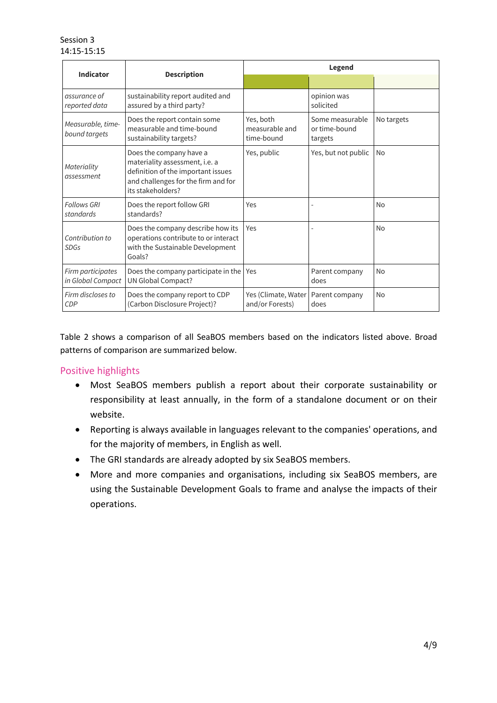| <b>Indicator</b>                       |                                                                                                                                                             | Legend                                    |                                             |                |  |  |  |  |
|----------------------------------------|-------------------------------------------------------------------------------------------------------------------------------------------------------------|-------------------------------------------|---------------------------------------------|----------------|--|--|--|--|
|                                        | <b>Description</b>                                                                                                                                          |                                           |                                             |                |  |  |  |  |
| assurance of<br>reported data          | sustainability report audited and<br>assured by a third party?                                                                                              |                                           | opinion was<br>solicited                    |                |  |  |  |  |
| Measurable, time-<br>bound targets     | Does the report contain some<br>measurable and time-bound<br>sustainability targets?                                                                        | Yes, both<br>measurable and<br>time-bound | Some measurable<br>or time-bound<br>targets | No targets     |  |  |  |  |
| Materiality<br>assessment              | Does the company have a<br>materiality assessment, i.e. a<br>definition of the important issues<br>and challenges for the firm and for<br>its stakeholders? | Yes, public                               | Yes, but not public                         | No             |  |  |  |  |
| <b>Follows GRI</b><br>standards        | Does the report follow GRI<br>standards?                                                                                                                    | Yes                                       |                                             | <b>No</b>      |  |  |  |  |
| Contribution to<br>SDGs                | Does the company describe how its<br>operations contribute to or interact<br>with the Sustainable Development<br>Goals?                                     | Yes                                       |                                             | <b>No</b>      |  |  |  |  |
| Firm participates<br>in Global Compact | Does the company participate in the<br>UN Global Compact?                                                                                                   | Yes                                       | Parent company<br>does                      | <b>No</b>      |  |  |  |  |
| Firm discloses to<br><b>CDP</b>        | Does the company report to CDP<br>(Carbon Disclosure Project)?                                                                                              | Yes (Climate, Water<br>and/or Forests)    | Parent company<br>does                      | N <sub>0</sub> |  |  |  |  |

Table 2 shows a comparison of all SeaBOS members based on the indicators listed above. Broad patterns of comparison are summarized below.

#### Positive highlights

- Most SeaBOS members publish a report about their corporate sustainability or responsibility at least annually, in the form of a standalone document or on their website.
- Reporting is always available in languages relevant to the companies' operations, and for the majority of members, in English as well.
- The GRI standards are already adopted by six SeaBOS members.
- More and more companies and organisations, including six SeaBOS members, are using the Sustainable Development Goals to frame and analyse the impacts of their operations.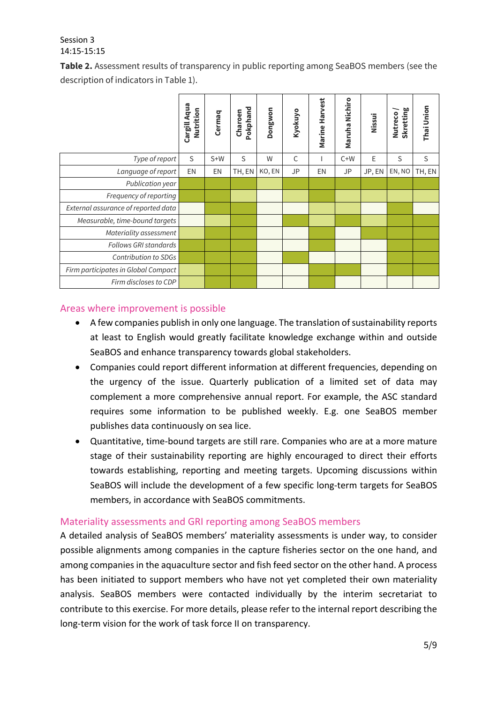**Table 2.** Assessment results of transparency in public reporting among SeaBOS members (see the description of indicators in Table 1).

|                                     | Cargill Aqua<br>Nutrition | Cermaq | Pokphand<br>Charoen | Dongwon | Kyokuyo | Marine Harvest | Maruha Nichiro | Nissui | Skretting<br>Nutreco | Thai Union |
|-------------------------------------|---------------------------|--------|---------------------|---------|---------|----------------|----------------|--------|----------------------|------------|
| Type of report                      | S                         | $S+W$  | S                   | W       | C       |                | $C+W$          | Е      | S                    | S          |
| Language of report                  | EN                        | EN     | TH, EN              | KO, EN  | JP      | EN             | JP             | JP, EN | EN, NO               | TH, EN     |
| Publication year                    |                           |        |                     |         |         |                |                |        |                      |            |
| Frequency of reporting              |                           |        |                     |         |         |                |                |        |                      |            |
| External assurance of reported data |                           |        |                     |         |         |                |                |        |                      |            |
| Measurable, time-bound targets      |                           |        |                     |         |         |                |                |        |                      |            |
| Materiality assessment              |                           |        |                     |         |         |                |                |        |                      |            |
| Follows GRI standards               |                           |        |                     |         |         |                |                |        |                      |            |
| Contribution to SDGs                |                           |        |                     |         |         |                |                |        |                      |            |
| Firm participates in Global Compact |                           |        |                     |         |         |                |                |        |                      |            |
| Firm discloses to CDP               |                           |        |                     |         |         |                |                |        |                      |            |

#### Areas where improvement is possible

- A few companies publish in only one language. The translation of sustainability reports at least to English would greatly facilitate knowledge exchange within and outside SeaBOS and enhance transparency towards global stakeholders.
- Companies could report different information at different frequencies, depending on the urgency of the issue. Quarterly publication of a limited set of data may complement a more comprehensive annual report. For example, the ASC standard requires some information to be published weekly. E.g. one SeaBOS member publishes data continuously on sea lice.
- Quantitative, time-bound targets are still rare. Companies who are at a more mature stage of their sustainability reporting are highly encouraged to direct their efforts towards establishing, reporting and meeting targets. Upcoming discussions within SeaBOS will include the development of a few specific long-term targets for SeaBOS members, in accordance with SeaBOS commitments.

#### Materiality assessments and GRI reporting among SeaBOS members

A detailed analysis of SeaBOS members' materiality assessments is under way, to consider possible alignments among companies in the capture fisheries sector on the one hand, and among companies in the aquaculture sector and fish feed sector on the other hand. A process has been initiated to support members who have not yet completed their own materiality analysis. SeaBOS members were contacted individually by the interim secretariat to contribute to this exercise. For more details, please refer to the internal report describing the long-term vision for the work of task force II on transparency.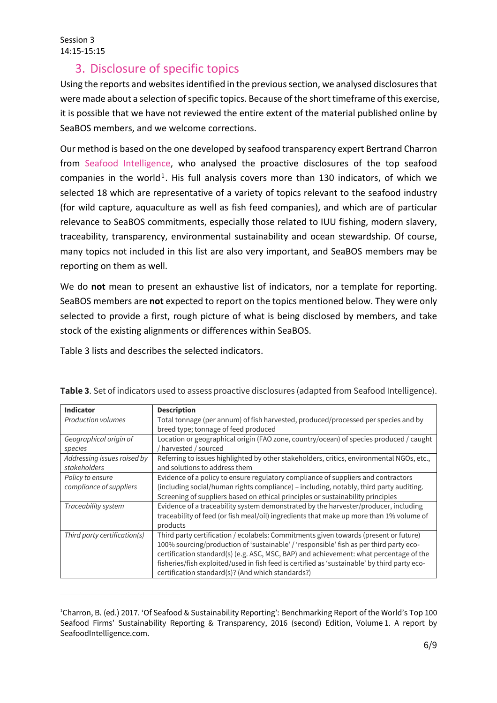# 3. Disclosure of specific topics

Using the reports and websites identified in the previous section, we analysed disclosures that were made about a selection of specific topics. Because of the short timeframe of this exercise, it is possible that we have not reviewed the entire extent of the material published online by SeaBOS members, and we welcome corrections.

Our method is based on the one developed by seafood transparency expert Bertrand Charron from Seafood Intelligence, who analysed the proactive disclosures of the top seafood companies in the world<sup>1</sup>. His full analysis covers more than 130 indicators, of which we selected 18 which are representative of a variety of topics relevant to the seafood industry (for wild capture, aquaculture as well as fish feed companies), and which are of particular relevance to SeaBOS commitments, especially those related to IUU fishing, modern slavery, traceability, transparency, environmental sustainability and ocean stewardship. Of course, many topics not included in this list are also very important, and SeaBOS members may be reporting on them as well.

We do **not** mean to present an exhaustive list of indicators, nor a template for reporting. SeaBOS members are **not** expected to report on the topics mentioned below. They were only selected to provide a first, rough picture of what is being disclosed by members, and take stock of the existing alignments or differences within SeaBOS.

Table 3 lists and describes the selected indicators.

| Indicator                    | <b>Description</b>                                                                          |
|------------------------------|---------------------------------------------------------------------------------------------|
| <b>Production volumes</b>    | Total tonnage (per annum) of fish harvested, produced/processed per species and by          |
|                              | breed type; tonnage of feed produced                                                        |
| Geographical origin of       | Location or geographical origin (FAO zone, country/ocean) of species produced / caught      |
| species                      | harvested / sourced                                                                         |
| Addressing issues raised by  | Referring to issues highlighted by other stakeholders, critics, environmental NGOs, etc.,   |
| stakeholders                 | and solutions to address them                                                               |
| Policy to ensure             | Evidence of a policy to ensure regulatory compliance of suppliers and contractors           |
| compliance of suppliers      | (including social/human rights compliance) - including, notably, third party auditing.      |
|                              | Screening of suppliers based on ethical principles or sustainability principles             |
| Traceability system          | Evidence of a traceability system demonstrated by the harvester/producer, including         |
|                              | traceability of feed (or fish meal/oil) ingredients that make up more than 1% volume of     |
|                              | products                                                                                    |
| Third party certification(s) | Third party certification / ecolabels: Commitments given towards (present or future)        |
|                              | 100% sourcing/production of 'sustainable' / 'responsible' fish as per third party eco-      |
|                              | certification standard(s) (e.g. ASC, MSC, BAP) and achievement: what percentage of the      |
|                              | fisheries/fishexploited/used in fish feed is certified as 'sustainable' by third party eco- |
|                              | certification standard(s)? (And which standards?)                                           |

**Table 3**. Set of indicators used to assess proactive disclosures (adapted from Seafood Intelligence).

<sup>1</sup> Charron, B. (ed.) 2017. 'Of Seafood & Sustainability Reporting': Benchmarking Report of the World's Top 100 Seafood Firms' Sustainability Reporting & Transparency, 2016 (second) Edition, Volume 1. A report by SeafoodIntelligence.com.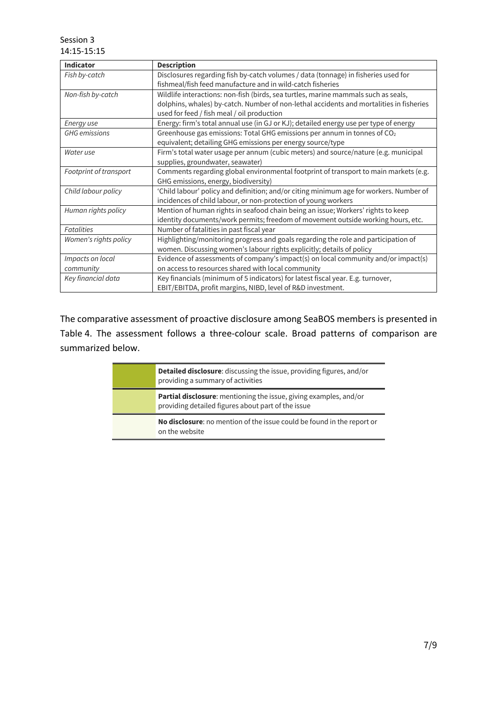| <b>Indicator</b>       | <b>Description</b>                                                                      |
|------------------------|-----------------------------------------------------------------------------------------|
| Fish by-catch          | Disclosures regarding fish by-catch volumes / data (tonnage) in fisheries used for      |
|                        | fishmeal/fish feed manufacture and in wild-catch fisheries                              |
| Non-fish by-catch      | Wildlife interactions: non-fish (birds, sea turtles, marine mammals such as seals,      |
|                        | dolphins, whales) by-catch. Number of non-lethal accidents and mortalities in fisheries |
|                        | used for feed / fish meal / oil production                                              |
| Energy use             | Energy: firm's total annual use (in GJ or KJ); detailed energy use per type of energy   |
| <b>GHG</b> emissions   | Greenhouse gas emissions: Total GHG emissions per annum in tonnes of CO <sub>2</sub>    |
|                        | equivalent; detailing GHG emissions per energy source/type                              |
| Water use              | Firm's total water usage per annum (cubic meters) and source/nature (e.g. municipal     |
|                        | supplies, groundwater, seawater)                                                        |
| Footprint of transport | Comments regarding global environmental footprint of transport to main markets (e.g.    |
|                        | GHG emissions, energy, biodiversity)                                                    |
| Child labour policy    | 'Child labour' policy and definition; and/or citing minimum age for workers. Number of  |
|                        | incidences of child labour, or non-protection of young workers                          |
| Human rights policy    | Mention of human rights in seafood chain being an issue; Workers' rights to keep        |
|                        | identity documents/work permits; freedom of movement outside working hours, etc.        |
| <b>Fatalities</b>      | Number of fatalities in past fiscal year                                                |
| Women's rights policy  | Highlighting/monitoring progress and goals regarding the role and participation of      |
|                        | women. Discussing women's labour rights explicitly; details of policy                   |
| Impacts on local       | Evidence of assessments of company's impact(s) on local community and/or impact(s)      |
| community              | on access to resources shared with local community                                      |
| Key financial data     | Key financials (minimum of 5 indicators) for latest fiscal year. E.g. turnover,         |
|                        | EBIT/EBITDA, profit margins, NIBD, level of R&D investment.                             |

The comparative assessment of proactive disclosure among SeaBOS members is presented in Table 4. The assessment follows a three-colour scale. Broad patterns of comparison are summarized below.

| <b>Detailed disclosure:</b> discussing the issue, providing figures, and/or<br>providing a summary of activities               |
|--------------------------------------------------------------------------------------------------------------------------------|
| <b>Partial disclosure:</b> mentioning the issue, giving examples, and/or<br>providing detailed figures about part of the issue |
| No disclosure: no mention of the issue could be found in the report or<br>on the website                                       |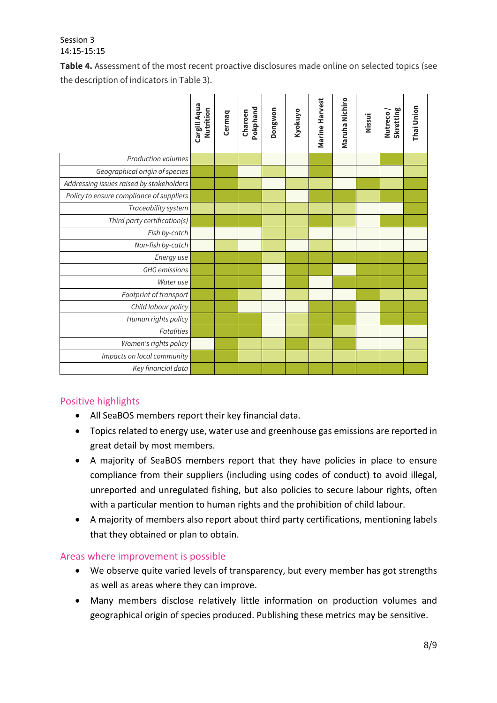**Table 4.** Assessment of the most recent proactive disclosures made online on selected topics (see the description of indicators in Table 3).

|                                          | Cargill Aqua<br>Nutrition | Cermaq | Pokphand<br>Charoen | Dongwon | Kyokuyo | Marine Harvest | Maruha Nichiro | Nissui | Skretting<br>Nutreco | Thai Union |
|------------------------------------------|---------------------------|--------|---------------------|---------|---------|----------------|----------------|--------|----------------------|------------|
| Production volumes                       |                           |        |                     |         |         |                |                |        |                      |            |
| Geographical origin of species           |                           |        |                     |         |         |                |                |        |                      |            |
| Addressing issues raised by stakeholders |                           |        |                     |         |         |                |                |        |                      |            |
| Policy to ensure compliance of suppliers |                           |        |                     |         |         |                |                |        |                      |            |
| Traceability system                      |                           |        |                     |         |         |                |                |        |                      |            |
| Third party certification(s)             |                           |        |                     |         |         |                |                |        |                      |            |
| Fish by-catch                            |                           |        |                     |         |         |                |                |        |                      |            |
| Non-fish by-catch                        |                           |        |                     |         |         |                |                |        |                      |            |
| Energy use                               |                           |        |                     |         |         |                |                |        |                      |            |
| <b>GHG</b> emissions                     |                           |        |                     |         |         |                |                |        |                      |            |
| Water use                                |                           |        |                     |         |         |                |                |        |                      |            |
| Footprint of transport                   |                           |        |                     |         |         |                |                |        |                      |            |
| Child labour policy                      |                           |        |                     |         |         |                |                |        |                      |            |
| Human rights policy                      |                           |        |                     |         |         |                |                |        |                      |            |
| <b>Fatalities</b>                        |                           |        |                     |         |         |                |                |        |                      |            |
| Women's rights policy                    |                           |        |                     |         |         |                |                |        |                      |            |
| Impacts on local community               |                           |        |                     |         |         |                |                |        |                      |            |
| Key financial data                       |                           |        |                     |         |         |                |                |        |                      |            |

## Positive highlights

- All SeaBOS members report their key financial data.
- Topics related to energy use, water use and greenhouse gas emissions are reported in great detail by most members.
- A majority of SeaBOS members report that they have policies in place to ensure compliance from their suppliers (including using codes of conduct) to avoid illegal, unreported and unregulated fishing, but also policies to secure labour rights, often with a particular mention to human rights and the prohibition of child labour.
- A majority of members also report about third party certifications, mentioning labels that they obtained or plan to obtain.

#### Areas where improvement is possible

- We observe quite varied levels of transparency, but every member has got strengths as well as areas where they can improve.
- Many members disclose relatively little information on production volumes and geographical origin of species produced. Publishing these metrics may be sensitive.